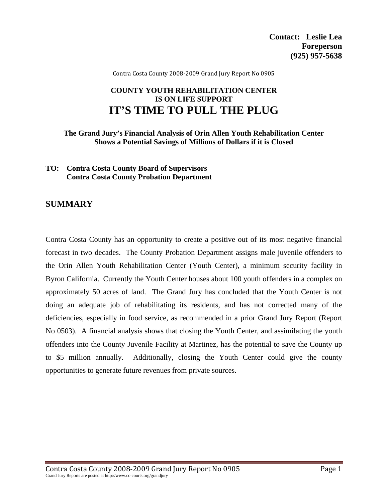Contra Costa County 2008‐2009 Grand Jury Report No 0905

# **COUNTY YOUTH REHABILITATION CENTER IS ON LIFE SUPPORT IT'S TIME TO PULL THE PLUG**

**The Grand Jury's Financial Analysis of Orin Allen Youth Rehabilitation Center Shows a Potential Savings of Millions of Dollars if it is Closed** 

#### **TO: Contra Costa County Board of Supervisors Contra Costa County Probation Department**

### **SUMMARY**

Contra Costa County has an opportunity to create a positive out of its most negative financial forecast in two decades. The County Probation Department assigns male juvenile offenders to the Orin Allen Youth Rehabilitation Center (Youth Center), a minimum security facility in Byron California. Currently the Youth Center houses about 100 youth offenders in a complex on approximately 50 acres of land. The Grand Jury has concluded that the Youth Center is not doing an adequate job of rehabilitating its residents, and has not corrected many of the deficiencies, especially in food service, as recommended in a prior Grand Jury Report (Report No 0503). A financial analysis shows that closing the Youth Center, and assimilating the youth offenders into the County Juvenile Facility at Martinez, has the potential to save the County up to \$5 million annually. Additionally, closing the Youth Center could give the county opportunities to generate future revenues from private sources.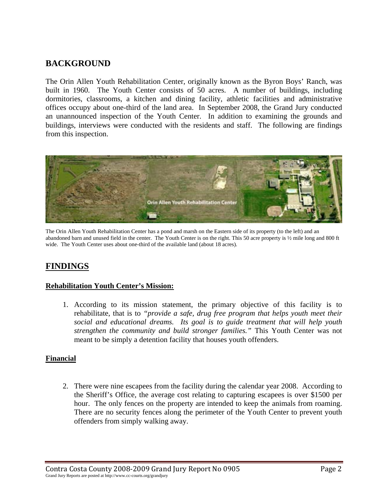# **BACKGROUND**

The Orin Allen Youth Rehabilitation Center, originally known as the Byron Boys' Ranch, was built in 1960. The Youth Center consists of 50 acres. A number of buildings, including dormitories, classrooms, a kitchen and dining facility, athletic facilities and administrative offices occupy about one-third of the land area. In September 2008, the Grand Jury conducted an unannounced inspection of the Youth Center. In addition to examining the grounds and buildings, interviews were conducted with the residents and staff. The following are findings from this inspection.



The Orin Allen Youth Rehabilitation Center has a pond and marsh on the Eastern side of its property (to the left) and an abandoned barn and unused field in the center. The Youth Center is on the right. This 50 acre property is ½ mile long and 800 ft wide. The Youth Center uses about one-third of the available land (about 18 acres).

# **FINDINGS**

#### **Rehabilitation Youth Center's Mission:**

1. According to its mission statement, the primary objective of this facility is to rehabilitate, that is to *"provide a safe, drug free program that helps youth meet their social and educational dreams. Its goal is to guide treatment that will help youth strengthen the community and build stronger families."* This Youth Center was not meant to be simply a detention facility that houses youth offenders.

#### **Financial**

2. There were nine escapees from the facility during the calendar year 2008. According to the Sheriff's Office, the average cost relating to capturing escapees is over \$1500 per hour. The only fences on the property are intended to keep the animals from roaming. There are no security fences along the perimeter of the Youth Center to prevent youth offenders from simply walking away.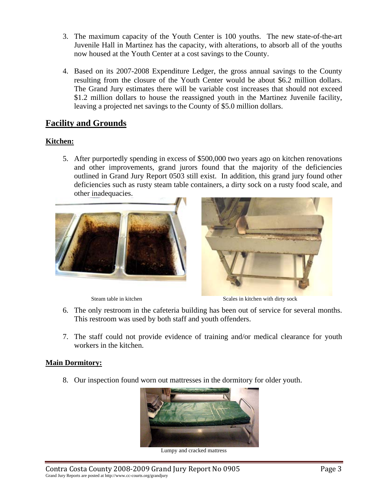- 3. The maximum capacity of the Youth Center is 100 youths. The new state-of-the-art Juvenile Hall in Martinez has the capacity, with alterations, to absorb all of the youths now housed at the Youth Center at a cost savings to the County.
- 4. Based on its 2007-2008 Expenditure Ledger, the gross annual savings to the County resulting from the closure of the Youth Center would be about \$6.2 million dollars. The Grand Jury estimates there will be variable cost increases that should not exceed \$1.2 million dollars to house the reassigned youth in the Martinez Juvenile facility, leaving a projected net savings to the County of \$5.0 million dollars.

## **Facility and Grounds**

### **Kitchen:**

5. After purportedly spending in excess of \$500,000 two years ago on kitchen renovations and other improvements, grand jurors found that the majority of the deficiencies outlined in Grand Jury Report 0503 still exist. In addition, this grand jury found other deficiencies such as rusty steam table containers, a dirty sock on a rusty food scale, and other inadequacies.



Steam table in kitchen Scales in kitchen Scales in kitchen with dirty sock

- 6. The only restroom in the cafeteria building has been out of service for several months. This restroom was used by both staff and youth offenders.
- 7. The staff could not provide evidence of training and/or medical clearance for youth workers in the kitchen.

#### **Main Dormitory:**

8. Our inspection found worn out mattresses in the dormitory for older youth.



Lumpy and cracked mattress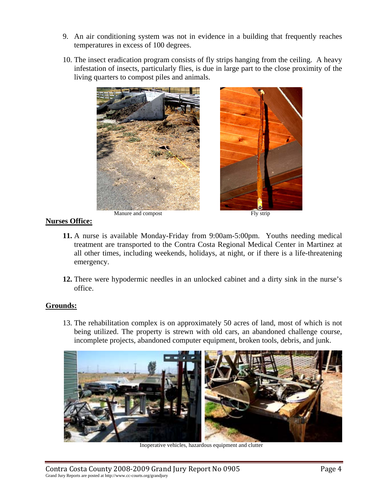- 9. An air conditioning system was not in evidence in a building that frequently reaches temperatures in excess of 100 degrees.
- 10. The insect eradication program consists of fly strips hanging from the ceiling. A heavy infestation of insects, particularly flies, is due in large part to the close proximity of the living quarters to compost piles and animals.



#### **Nurses Office:**

- **11.** A nurse is available Monday-Friday from 9:00am-5:00pm. Youths needing medical treatment are transported to the Contra Costa Regional Medical Center in Martinez at all other times, including weekends, holidays, at night, or if there is a life-threatening emergency.
- **12.** There were hypodermic needles in an unlocked cabinet and a dirty sink in the nurse's office.

#### **Grounds:**

13. The rehabilitation complex is on approximately 50 acres of land, most of which is not being utilized. The property is strewn with old cars, an abandoned challenge course, incomplete projects, abandoned computer equipment, broken tools, debris, and junk.



Inoperative vehicles, hazardous equipment and clutter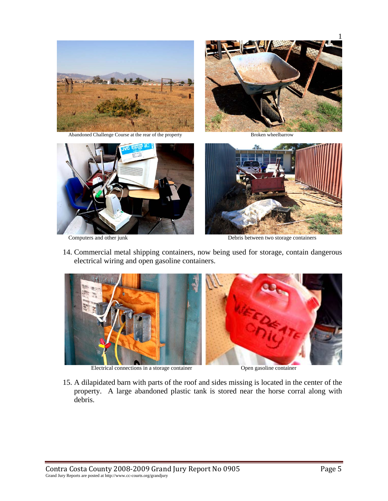









Computers and other junk Debris between two storage containers

14. Commercial metal shipping containers, now being used for storage, contain dangerous electrical wiring and open gasoline containers.



Electrical connections in a storage container Open gasoline container

15. A dilapidated barn with parts of the roof and sides missing is located in the center of the property. A large abandoned plastic tank is stored near the horse corral along with debris.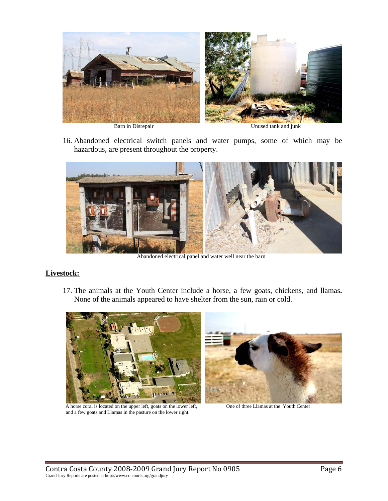

16. Abandoned electrical switch panels and water pumps, some of which may be hazardous, are present throughout the property.



Abandoned electrical panel and water well near the barn

#### **Livestock:**

17. The animals at the Youth Center include a horse, a few goats, chickens, and llamas**.**  None of the animals appeared to have shelter from the sun, rain or cold.



A horse coral is located on the upper left, goats on the lower left, One of three Llamas at the Youth Center and a few goats and Llamas in the pasture on the lower right.

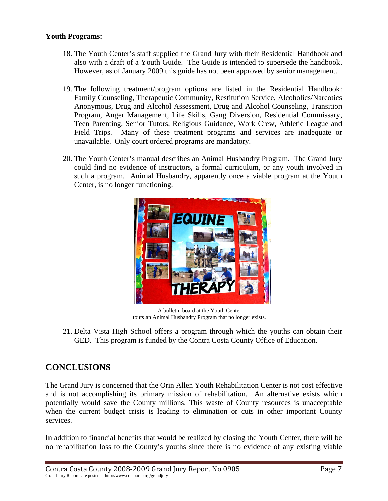#### **Youth Programs:**

- 18. The Youth Center's staff supplied the Grand Jury with their Residential Handbook and also with a draft of a Youth Guide. The Guide is intended to supersede the handbook. However, as of January 2009 this guide has not been approved by senior management.
- 19. The following treatment/program options are listed in the Residential Handbook: Family Counseling, Therapeutic Community, Restitution Service, Alcoholics/Narcotics Anonymous, Drug and Alcohol Assessment, Drug and Alcohol Counseling, Transition Program, Anger Management, Life Skills, Gang Diversion, Residential Commissary, Teen Parenting, Senior Tutors, Religious Guidance, Work Crew, Athletic League and Field Trips. Many of these treatment programs and services are inadequate or unavailable. Only court ordered programs are mandatory.
- 20. The Youth Center's manual describes an Animal Husbandry Program. The Grand Jury could find no evidence of instructors, a formal curriculum, or any youth involved in such a program. Animal Husbandry, apparently once a viable program at the Youth Center, is no longer functioning.



A bulletin board at the Youth Center touts an Animal Husbandry Program that no longer exists.

21. Delta Vista High School offers a program through which the youths can obtain their GED. This program is funded by the Contra Costa County Office of Education.

## **CONCLUSIONS**

The Grand Jury is concerned that the Orin Allen Youth Rehabilitation Center is not cost effective and is not accomplishing its primary mission of rehabilitation. An alternative exists which potentially would save the County millions. This waste of County resources is unacceptable when the current budget crisis is leading to elimination or cuts in other important County services.

In addition to financial benefits that would be realized by closing the Youth Center, there will be no rehabilitation loss to the County's youths since there is no evidence of any existing viable